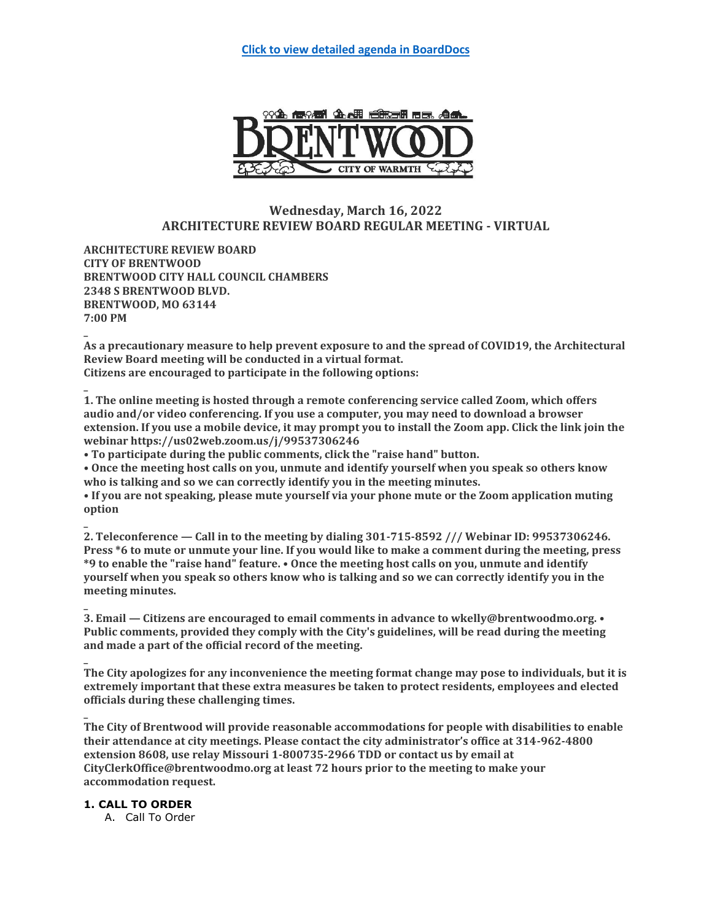

# **Wednesday, March 16, 2022 ARCHITECTURE REVIEW BOARD REGULAR MEETING - VIRTUAL**

**ARCHITECTURE REVIEW BOARD CITY OF BRENTWOOD BRENTWOOD CITY HALL COUNCIL CHAMBERS 2348 S BRENTWOOD BLVD. BRENTWOOD, MO 63144 7:00 PM**

**\_ As a precautionary measure to help prevent exposure to and the spread of COVID19, the Architectural Review Board meeting will be conducted in a virtual format. Citizens are encouraged to participate in the following options:**

**\_ 1. The online meeting is hosted through a remote conferencing service called Zoom, which offers audio and/or video conferencing. If you use a computer, you may need to download a browser extension. If you use a mobile device, it may prompt you to install the Zoom app. Click the link join the webinar https://us02web.zoom.us/j/99537306246**

**• To participate during the public comments, click the "raise hand" button.**

**• Once the meeting host calls on you, unmute and identify yourself when you speak so others know who is talking and so we can correctly identify you in the meeting minutes.**

**• If you are not speaking, please mute yourself via your phone mute or the Zoom application muting option**

**2. Teleconference — Call in to the meeting by dialing 301-715-8592 /// Webinar ID: 99537306246. Press \*6 to mute or unmute your line. If you would like to make a comment during the meeting, press \*9 to enable the "raise hand" feature. • Once the meeting host calls on you, unmute and identify yourself when you speak so others know who is talking and so we can correctly identify you in the meeting minutes.**

**3. Email — Citizens are encouraged to email comments in advance to wkelly@brentwoodmo.org. • Public comments, provided they comply with the City's guidelines, will be read during the meeting and made a part of the official record of the meeting.**

**\_ The City apologizes for any inconvenience the meeting format change may pose to individuals, but it is extremely important that these extra measures be taken to protect residents, employees and elected officials during these challenging times.**

**The City of Brentwood will provide reasonable accommodations for people with disabilities to enable their attendance at city meetings. Please contact the city administrator's office at 314-962-4800 extension 8608, use relay Missouri 1-800735-2966 TDD or contact us by email at CityClerkOffice@brentwoodmo.org at least 72 hours prior to the meeting to make your accommodation request.**

## **1. CALL TO ORDER**

**\_**

**\_**

**\_**

A. Call To Order